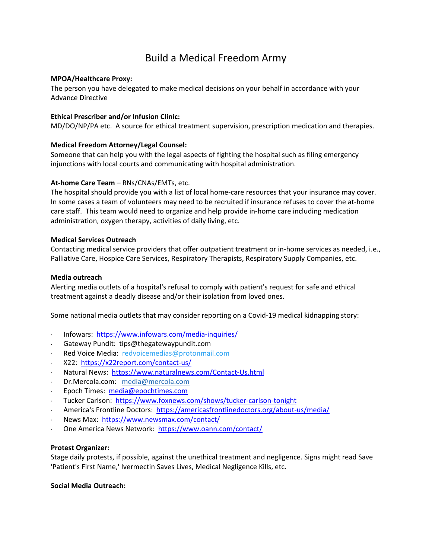# Build a Medical Freedom Army

## **MPOA/Healthcare Proxy:**

The person you have delegated to make medical decisions on your behalf in accordance with your Advance Directive

## **Ethical Prescriber and/or Infusion Clinic:**

MD/DO/NP/PA etc. A source for ethical treatment supervision, prescription medication and therapies.

## **Medical Freedom Attorney/Legal Counsel:**

Someone that can help you with the legal aspects of fighting the hospital such as filing emergency injunctions with local courts and communicating with hospital administration.

## **At-home Care Team** – RNs/CNAs/EMTs, etc.

The hospital should provide you with a list of local home-care resources that your insurance may cover. In some cases a team of volunteers may need to be recruited if insurance refuses to cover the at-home care staff. This team would need to organize and help provide in-home care including medication administration, oxygen therapy, activities of daily living, etc.

## **Medical Services Outreach**

Contacting medical service providers that offer outpatient treatment or in-home services as needed, i.e., Palliative Care, Hospice Care Services, Respiratory Therapists, Respiratory Supply Companies, etc.

#### **Media outreach**

Alerting media outlets of a hospital's refusal to comply with patient's request for safe and ethical treatment against a deadly disease and/or their isolation from loved ones.

Some national media outlets that may consider reporting on a Covid-19 medical kidnapping story:

- ⋅ Infowars: <https://www.infowars.com/media-inquiries/>
- ⋅ Gateway Pundit: tips@thegatewaypundit.com
- Red Voice Media: redvoicemedias@protonmail.com
- ⋅ X22: <https://x22report.com/contact-us/>
- Natural News:<https://www.naturalnews.com/Contact-Us.html>
- ⋅ Dr.Mercola.com: [media@mercola.com](mailto:media@mercola.com)
- ⋅ Epoch Times: [media@epochtimes.com](mailto:media@epochtimes.com)
- Tucker Carlson: <https://www.foxnews.com/shows/tucker-carlson-tonight>
- ⋅ America's Frontline Doctors: <https://americasfrontlinedoctors.org/about-us/media/>
- News Max:<https://www.newsmax.com/contact/>
- ⋅ One America News Network: <https://www.oann.com/contact/>

#### **Protest Organizer:**

Stage daily protests, if possible, against the unethical treatment and negligence. Signs might read Save 'Patient's First Name,' Ivermectin Saves Lives, Medical Negligence Kills, etc.

#### **Social Media Outreach:**